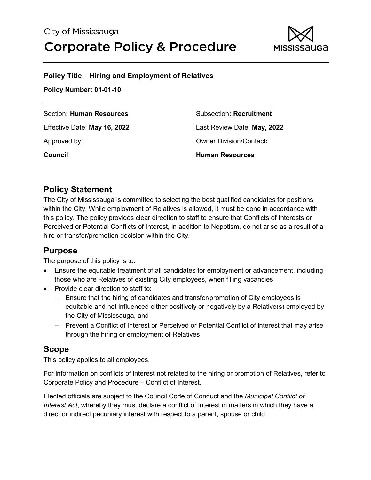

#### **Policy Title**: **Hiring and Employment of Relatives**

#### **Policy Number: 01-01-10**

| Section: Human Resources     | <b>Subsection: Recruitment</b> |
|------------------------------|--------------------------------|
| Effective Date: May 16, 2022 | Last Review Date: May, 2022    |
| Approved by:                 | <b>Owner Division/Contact:</b> |
| <b>Council</b>               | <b>Human Resources</b>         |
|                              |                                |

### **Policy Statement**

The City of Mississauga is committed to selecting the best qualified candidates for positions within the City. While employment of Relatives is allowed, it must be done in accordance with this policy. The policy provides clear direction to staff to ensure that Conflicts of Interests or Perceived or Potential Conflicts of Interest, in addition to Nepotism, do not arise as a result of a hire or transfer/promotion decision within the City.

### **Purpose**

The purpose of this policy is to:

- Ensure the equitable treatment of all candidates for employment or advancement, including those who are Relatives of existing City employees, when filling vacancies
- Provide clear direction to staff to:
	- Ensure that the hiring of candidates and transfer/promotion of City employees is equitable and not influenced either positively or negatively by a Relative(s) employed by the City of Mississauga, and
	- Prevent a Conflict of Interest or Perceived or Potential Conflict of interest that may arise through the hiring or employment of Relatives

### **Scope**

This policy applies to all employees.

For information on conflicts of interest not related to the hiring or promotion of Relatives, refer to Corporate Policy and Procedure – Conflict of Interest.

Elected officials are subject to the Council Code of Conduct and the *Municipal Conflict of Interest Act*, whereby they must declare a conflict of interest in matters in which they have a direct or indirect pecuniary interest with respect to a parent, spouse or child.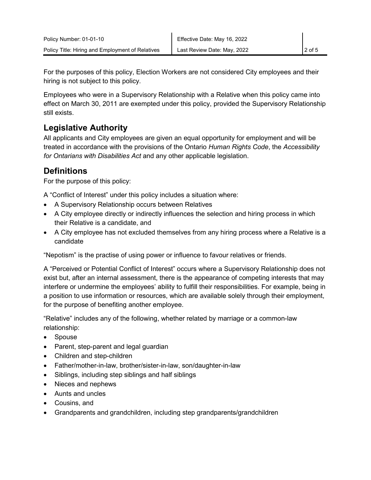For the purposes of this policy, Election Workers are not considered City employees and their hiring is not subject to this policy.

Employees who were in a Supervisory Relationship with a Relative when this policy came into effect on March 30, 2011 are exempted under this policy, provided the Supervisory Relationship still exists.

# **Legislative Authority**

All applicants and City employees are given an equal opportunity for employment and will be treated in accordance with the provisions of the Ontario *Human Rights Code*, the *Accessibility for Ontarians with Disabilities Act* and any other applicable legislation.

# **Definitions**

For the purpose of this policy:

A "Conflict of Interest" under this policy includes a situation where:

- A Supervisory Relationship occurs between Relatives
- A City employee directly or indirectly influences the selection and hiring process in which their Relative is a candidate, and
- A City employee has not excluded themselves from any hiring process where a Relative is a candidate

"Nepotism" is the practise of using power or influence to favour relatives or friends.

A "Perceived or Potential Conflict of Interest" occurs where a Supervisory Relationship does not exist but, after an internal assessment, there is the appearance of competing interests that may interfere or undermine the employees' ability to fulfill their responsibilities. For example, being in a position to use information or resources, which are available solely through their employment, for the purpose of benefiting another employee.

"Relative" includes any of the following, whether related by marriage or a common-law relationship:

- Spouse
- Parent, step-parent and legal guardian
- Children and step-children
- Father/mother-in-law, brother/sister-in-law, son/daughter-in-law
- Siblings, including step siblings and half siblings
- Nieces and nephews
- Aunts and uncles
- Cousins, and
- Grandparents and grandchildren, including step grandparents/grandchildren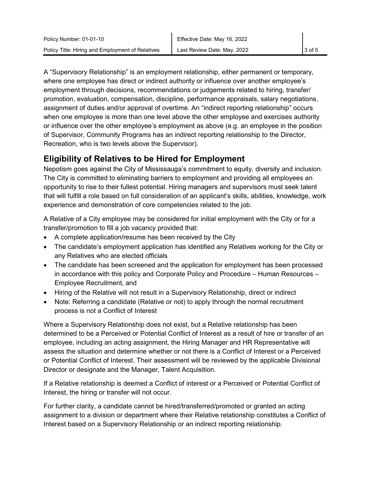A "Supervisory Relationship" is an employment relationship, either permanent or temporary, where one employee has direct or indirect authority or influence over another employee's employment through decisions, recommendations or judgements related to hiring, transfer/ promotion, evaluation, compensation, discipline, performance appraisals, salary negotiations, assignment of duties and/or approval of overtime. An "indirect reporting relationship" occurs when one employee is more than one level above the other employee and exercises authority or influence over the other employee's employment as above (e.g. an employee in the position of Supervisor, Community Programs has an indirect reporting relationship to the Director, Recreation, who is two levels above the Supervisor).

## **Eligibility of Relatives to be Hired for Employment**

Nepotism goes against the City of Mississauga's commitment to equity, diversity and inclusion. The City is committed to eliminating barriers to employment and providing all employees an opportunity to rise to their fullest potential. Hiring managers and supervisors must seek talent that will fulfill a role based on full consideration of an applicant's skills, abilities, knowledge, work experience and demonstration of core competencies related to the job.

A Relative of a City employee may be considered for initial employment with the City or for a transfer/promotion to fill a job vacancy provided that:

- A complete application/resume has been received by the City
- The candidate's employment application has identified any Relatives working for the City or any Relatives who are elected officials
- The candidate has been screened and the application for employment has been processed in accordance with this policy and Corporate Policy and Procedure – Human Resources – Employee Recruitment, and
- Hiring of the Relative will not result in a Supervisory Relationship, direct or indirect
- Note: Referring a candidate (Relative or not) to apply through the normal recruitment process is not a Conflict of Interest

Where a Supervisory Relationship does not exist, but a Relative relationship has been determined to be a Perceived or Potential Conflict of Interest as a result of hire or transfer of an employee, including an acting assignment, the Hiring Manager and HR Representative will assess the situation and determine whether or not there is a Conflict of Interest or a Perceived or Potential Conflict of Interest. Their assessment will be reviewed by the applicable Divisional Director or designate and the Manager, Talent Acquisition.

If a Relative relationship is deemed a Conflict of interest or a Perceived or Potential Conflict of Interest, the hiring or transfer will not occur.

For further clarity, a candidate cannot be hired/transferred/promoted or granted an acting assignment to a division or department where their Relative relationship constitutes a Conflict of Interest based on a Supervisory Relationship or an indirect reporting relationship.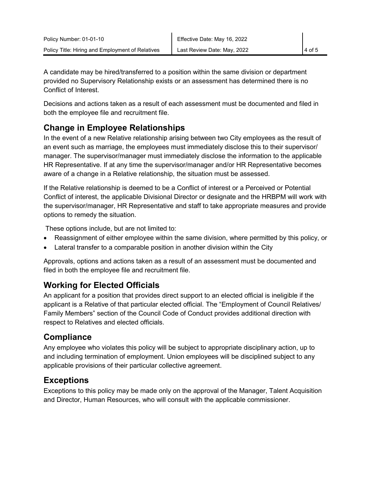Decisions and actions taken as a result of each assessment must be documented and filed in both the employee file and recruitment file.

# **Change in Employee Relationships**

In the event of a new Relative relationship arising between two City employees as the result of an event such as marriage, the employees must immediately disclose this to their supervisor/ manager. The supervisor/manager must immediately disclose the information to the applicable HR Representative. If at any time the supervisor/manager and/or HR Representative becomes aware of a change in a Relative relationship, the situation must be assessed.

If the Relative relationship is deemed to be a Conflict of interest or a Perceived or Potential Conflict of interest, the applicable Divisional Director or designate and the HRBPM will work with the supervisor/manager, HR Representative and staff to take appropriate measures and provide options to remedy the situation.

These options include, but are not limited to:

- Reassignment of either employee within the same division, where permitted by this policy, or
- Lateral transfer to a comparable position in another division within the City

Approvals, options and actions taken as a result of an assessment must be documented and filed in both the employee file and recruitment file.

# **Working for Elected Officials**

An applicant for a position that provides direct support to an elected official is ineligible if the applicant is a Relative of that particular elected official. The "Employment of Council Relatives/ Family Members" section of the Council Code of Conduct provides additional direction with respect to Relatives and elected officials.

# **Compliance**

Any employee who violates this policy will be subject to appropriate disciplinary action, up to and including termination of employment. Union employees will be disciplined subject to any applicable provisions of their particular collective agreement.

# **Exceptions**

Exceptions to this policy may be made only on the approval of the Manager, Talent Acquisition and Director, Human Resources, who will consult with the applicable commissioner.